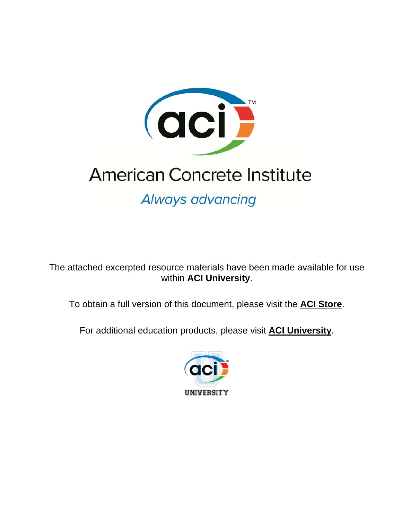

# **American Concrete Institute**

Always advancing

The attached excerpted resource materials have been made available for use within **ACI University**.

To obtain a full version of this document, please visit the **[ACI Store](http://www.concrete.org/Store/ProductDetail.aspx?ItemID=22401)**.

For additional education products, please visit **[ACI University](http://www.concrete.org/Education/ACIUniversity.aspx)**.

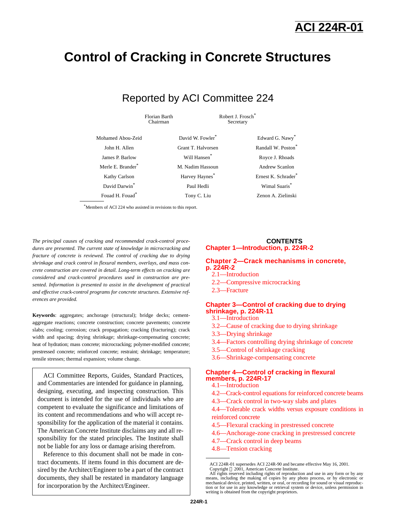## **Control of Cracking in Concrete Structures**

### Reported by ACI Committee 224

Florian Barth Chairman

Robert J. Frosch<sup>\*</sup> Secretary

| Mohamed Abou-Zeid             | David W. Fowler <sup>*</sup> | Edward G. Nawy*       |
|-------------------------------|------------------------------|-----------------------|
| John H. Allen                 | Grant T. Halvorsen           | Randall W. Poston*    |
| James P. Barlow               | Will Hansen <sup>*</sup>     | Royce J. Rhoads       |
| Merle E. Brander <sup>*</sup> | M. Nadim Hassoun             | <b>Andrew Scanlon</b> |
| Kathy Carlson                 | Harvey Haynes <sup>*</sup>   | Ernest K. Schrader*   |
| David Darwin <sup>*</sup>     | Paul Hedli                   | Wimal Suaris*         |
| Fouad H. Fouad*               | Tony C. Liu                  | Zenon A. Zielinski    |

\*Members of ACI 224 who assisted in revisions to this report.

*The principal causes of cracking and recommended crack-control procedures are presented. The current state of knowledge in microcracking and fracture of concrete is reviewed. The control of cracking due to drying shrinkage and crack control in flexural members, overlays, and mass concrete construction are covered in detail. Long-term effects on cracking are considered and crack-control procedures used in construction are presented. Information is presented to assist in the development of practical and effective crack-control programs for concrete structures. Extensive references are provided.*

**Keywords**: aggregates; anchorage (structural); bridge decks; cementaggregate reactions; concrete construction; concrete pavements; concrete slabs; cooling; corrosion; crack propagation; cracking (fracturing); crack width and spacing; drying shrinkage; shrinkage-compensating concrete; heat of hydration; mass concrete; microcracking; polymer-modified concrete; prestressed concrete; reinforced concrete; restraint; shrinkage; temperature; tensile stresses; thermal expansion; volume change.

ACI Committee Reports, Guides, Standard Practices, and Commentaries are intended for guidance in planning, designing, executing, and inspecting construction. This document is intended for the use of individuals who are competent to evaluate the significance and limitations of its content and recommendations and who will accept responsibility for the application of the material it contains. The American Concrete Institute disclaims any and all responsibility for the stated principles. The Institute shall not be liable for any loss or damage arising therefrom.

Reference to this document shall not be made in contract documents. If items found in this document are desired by the Architect/Engineer to be a part of the contract documents, they shall be restated in mandatory language for incorporation by the Architect/Engineer.

#### **CONTENTS [Chapter 1—Introduction, p. 224R-2](#page-2-0)**

#### **[Chapter 2—Crack mechanisms in concrete,](#page-2-1)  p. 224R-2**

- [2.1—Introduction](#page-2-1)
- 2.2—Compressive microcracking
- 2.3—Fracture

#### **[Chapter 3—Control of cracking due to drying](#page-3-0) shrinkage, p. 224R-11**

- [3.1—Introduction](#page-3-0)
- [3.2—Cause of cracking due to drying shrinkage](#page-3-1)
- [3.3—Drying shrinkage](#page-3-1)
- [3.4—Factors controlling drying shrinkage of concrete](#page-4-0)
- [3.5—Control of shrinkage cracking](#page-8-0)
- [3.6—Shrinkage-compensating concrete](#page-9-0)

#### **[Chapter 4—Control of cracking in flexural](#page-9-1)  members, p. 224R-17**

- [4.1—Introduction](#page-9-1)
- [4.2—Crack-control equations for reinforced concrete beams](#page-9-1)
- 4.3—Crack control in two-way slabs and plates
- 4.4—Tolerable crack widths versus exposure conditions in reinforced concrete
- 4.5—Flexural cracking in prestressed concrete
- 4.6—Anchorage-zone cracking in prestressed concrete
- 4.7—Crack control in deep beams
- 4.8—Tension cracking

ACI 224R-01 supersedes ACI 224R-90 and became effective May 16, 2001.

Copyright 2001, American Concrete Institute. All rights reserved including rights of reproduction and use in any form or by any means, including the making of copies by any photo process, or by electronic or mechanical device, printed, written, or oral, or recording for sound or visual reproduc-tion or for use in any knowledge or retrieval system or device, unless permission in writing is obtained from the copyright proprietors.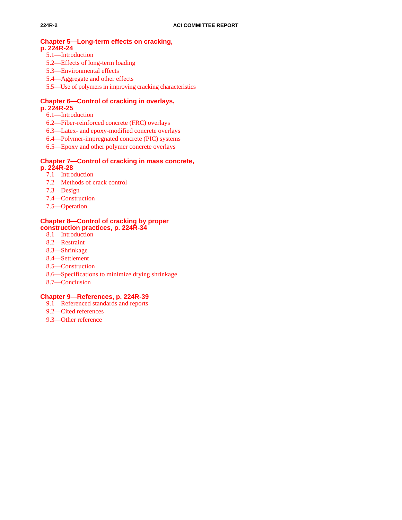#### <span id="page-2-1"></span>**Chapter 5—Long-term effects on cracking, p. 224R-24**

- 5.1—Introduction
- 5.2—Effects of long-term loading
- 5.3—Environmental effects
- 5.4—Aggregate and other effects
- 5.5—Use of polymers in improving cracking characteristics

#### **Chapter 6—Control of cracking in overlays, p. 224R-25**

- 6.1—Introduction
- 6.2—Fiber-reinforced concrete (FRC) overlays
- 6.3—Latex- and epoxy-modified concrete overlays
- 6.4—Polymer-impregnated concrete (PIC) systems
- 6.5—Epoxy and other polymer concrete overlays

#### <span id="page-2-0"></span>**Chapter 7—Control of cracking in mass concrete, p. 224R-28**

- 7.1—Introduction
- 7.2—Methods of crack control
- 7.3—Design
- 7.4—Construction
- 7.5—Operation

#### **Chapter 8—Control of cracking by proper construction practices, p. 224R-34**

- 8.1—Introduction
- 8.2—Restraint
- 8.3—Shrinkage
- 8.4—Settlement
- 8.5—Construction
- 8.6—Specifications to minimize drying shrinkage
- 8.7—Conclusion

#### **Chapter 9—References, p. 224R-39**

- 9.1—Referenced standards and reports
- 9.2—Cited references
- 9.3—Other reference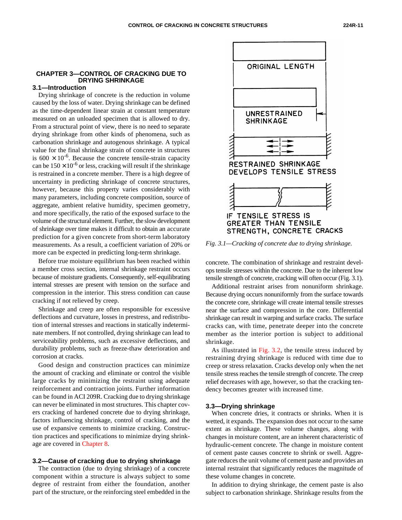#### <span id="page-3-0"></span>**CHAPTER 3—CONTROL OF CRACKING DUE TO DRYING SHRINKAGE**

#### **3.1—Introduction**

<span id="page-3-1"></span>Drying shrinkage of concrete is the reduction in volume caused by the loss of water. Drying shrinkage can be defined as the time-dependent linear strain at constant temperature measured on an unloaded specimen that is allowed to dry. From a structural point of view, there is no need to separate drying shrinkage from other kinds of phenomena, such as carbonation shrinkage and autogenous shrinkage. A typical value for the final shrinkage strain of concrete in structures is  $600 \times 10^{-6}$ . Because the concrete tensile-strain capacity can be  $150 \times 10^{-6}$  or less, cracking will result if the shrinkage is restrained in a concrete member. There is a high degree of uncertainty in predicting shrinkage of concrete structures, however, because this property varies considerably with many parameters, including concrete composition, source of aggregate, ambient relative humidity, specimen geometry, and more specifically, the ratio of the exposed surface to the volume of the structural element. Further, the slow development of shrinkage over time makes it difficult to obtain an accurate prediction for a given concrete from short-term laboratory measurements. As a result, a coefficient variation of 20% or more can be expected in predicting long-term shrinkage.

Before true moisture equilibrium has been reached within a member cross section, internal shrinkage restraint occurs because of moisture gradients. Consequently, self-equilibrating internal stresses are present with tension on the surface and compression in the interior. This stress condition can cause cracking if not relieved by creep.

Shrinkage and creep are often responsible for excessive deflections and curvature, losses in prestress, and redistribution of internal stresses and reactions in statically indeterminate members. If not controlled, drying shrinkage can lead to serviceability problems, such as excessive deflections, and durability problems, such as freeze-thaw deterioration and corrosion at cracks.

Good design and construction practices can minimize the amount of cracking and eliminate or control the visible large cracks by minimizing the restraint using adequate reinforcement and contraction joints. Further information can be found in ACI 209R. Cracking due to drying shrinkage can never be eliminated in most structures. This chapter covers cracking of hardened concrete due to drying shrinkage, factors influencing shrinkage, control of cracking, and the use of expansive cements to minimize cracking. Construction practices and specifications to minimize drying shrinkage are covered in Chapter 8.

#### **3.2—Cause of cracking due to drying shrinkage**

The contraction (due to drying shrinkage) of a concrete component within a structure is always subject to some degree of restraint from either the foundation, another part of the structure, or the reinforcing steel embedded in the



*Fig. 3.1—Cracking of concrete due to drying shrinkage.*

concrete. The combination of shrinkage and restraint develops tensile stresses within the concrete. Due to the inherent low tensile strength of concrete, cracking will often occur (Fig. 3.1).

Additional restraint arises from nonuniform shrinkage. Because drying occurs nonuniformly from the surface towards the concrete core, shrinkage will create internal tensile stresses near the surface and compression in the core. Differential shrinkage can result in warping and surface cracks. The surface cracks can, with time, penetrate deeper into the concrete member as the interior portion is subject to additional shrinkage.

As illustrated in [Fig. 3.2, t](#page-4-1)he tensile stress induced by restraining drying shrinkage is reduced with time due to creep or stress relaxation. Cracks develop only when the net tensile stress reaches the tensile strength of concrete. The creep relief decreases with age, however, so that the cracking tendency becomes greater with increased time.

#### **3.3—Drying shrinkage**

When concrete dries, it contracts or shrinks. When it is wetted, it expands. The expansion does not occur to the same extent as shrinkage. These volume changes, along with changes in moisture content, are an inherent characteristic of hydraulic-cement concrete. The change in moisture content of cement paste causes concrete to shrink or swell. Aggregate reduces the unit volume of cement paste and provides an internal restraint that significantly reduces the magnitude of these volume changes in concrete.

In addition to drying shrinkage, the cement paste is also subject to carbonation shrinkage. Shrinkage results from the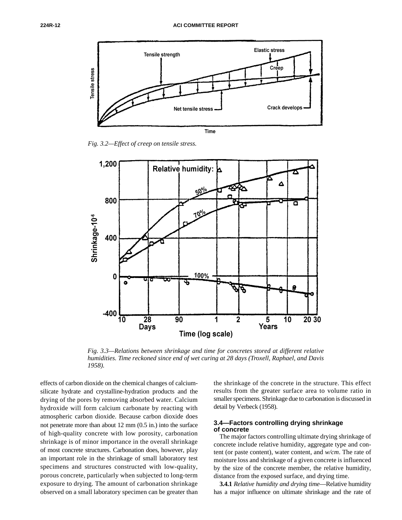<span id="page-4-1"></span>

*Fig. 3.2—Effect of creep on tensile stress.*

<span id="page-4-3"></span><span id="page-4-2"></span><span id="page-4-0"></span>

*Fig. 3.3—Relations between shrinkage and time for concretes stored at different relative humidities. Time reckoned since end of wet curing at 28 days (Troxell, Raphael, and Davis 1958).*

effects of carbon dioxide on the chemical changes of calciumsilicate hydrate and crystalline-hydration products and the drying of the pores by removing absorbed water. Calcium hydroxide will form calcium carbonate by reacting with atmospheric carbon dioxide. Because carbon dioxide does not penetrate more than about 12 mm (0.5 in.) into the surface of high-quality concrete with low porosity, carbonation shrinkage is of minor importance in the overall shrinkage of most concrete structures. Carbonation does, however, play an important role in the shrinkage of small laboratory test specimens and structures constructed with low-quality, porous concrete, particularly when subjected to long-term exposure to drying. The amount of carbonation shrinkage observed on a small laboratory specimen can be greater than the shrinkage of the concrete in the structure. This effect results from the greater surface area to volume ratio in smaller specimens. Shrinkage due to carbonation is discussed in detail by Verbeck (1958).

#### **3.4—Factors controlling drying shrinkage of concrete**

The major factors controlling ultimate drying shrinkage of concrete include relative humidity, aggregate type and content (or paste content), water content, and *w/cm*. The rate of moisture loss and shrinkage of a given concrete is influenced by the size of the concrete member, the relative humidity, distance from the exposed surface, and drying time.

**3.4.1** *Relative humidity and drying time*—Relative humidity has a major influence on ultimate shrinkage and the rate of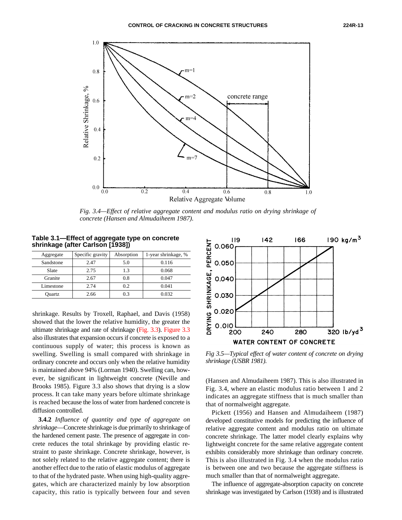<span id="page-5-2"></span><span id="page-5-0"></span>

*Fig. 3.4—Effect of relative aggregate content and modulus ratio on drying shrinkage of concrete (Hansen and Almudaiheem 1987).*

<span id="page-5-1"></span>**Table 3.1—Effect of aggregate type on concrete shrinkage (after Carlson [1938])**

| Aggregate | Specific gravity | Absorption | 1-year shrinkage, % |
|-----------|------------------|------------|---------------------|
| Sandstone | 2.47             | 5.0        | 0.116               |
| Slate     | 2.75             | 1.3        | 0.068               |
| Granite   | 2.67             | 0.8        | 0.047               |
| Limestone | 2.74             | 0.2        | 0.041               |
| Ouartz    | 2.66             | 0.3        | 0.032               |

shrinkage. Results by Troxell, Raphael, and Davis (1958) showed that the lower the relative humidity, the greater the ultimate shrinkage and rate of shrinkage [\(Fig. 3.3\).](#page-4-2) [Figure 3.3](#page-4-3) also illustrates that expansion occurs if concrete is exposed to a continuous supply of water; this process is known as swelling. Swelling is small compared with shrinkage in ordinary concrete and occurs only when the relative humidity is maintained above 94% (Lorman 1940). Swelling can, however, be significant in lightweight concrete (Neville and Brooks 1985). Figure 3.3 also shows that drying is a slow process. It can take many years before ultimate shrinkage is reached because the loss of water from hardened concrete is diffusion controlled.

**3.4.2** *Influence of quantity and type of aggregate on shrinkage*—Concrete shrinkage is due primarily to shrinkage of the hardened cement paste. The presence of aggregate in concrete reduces the total shrinkage by providing elastic restraint to paste shrinkage. Concrete shrinkage, however, is not solely related to the relative aggregate content; there is another effect due to the ratio of elastic modulus of aggregate to that of the hydrated paste. When using high-quality aggregates, which are characterized mainly by low absorption capacity, this ratio is typically between four and seven



*Fig 3.5—Typical effect of water content of concrete on drying shrinkage (USBR 1981).*

(Hansen and Almudaiheem 1987). This is also illustrated in Fig. 3.4, where an elastic modulus ratio between 1 and 2 indicates an aggregate stiffness that is much smaller than that of normalweight aggregate.

Pickett (1956) and Hansen and Almudaiheem (1987) developed constitutive models for predicting the influence of relative aggregate content and modulus ratio on ultimate concrete shrinkage. The latter model clearly explains why lightweight concrete for the same relative aggregate content exhibits considerably more shrinkage than ordinary concrete. This is also illustrated in Fig. 3.4 when the modulus ratio is between one and two because the aggregate stiffness is much smaller than that of normalweight aggregate.

The influence of aggregate-absorption capacity on concrete shrinkage was investigated by Carlson (1938) and is illustrated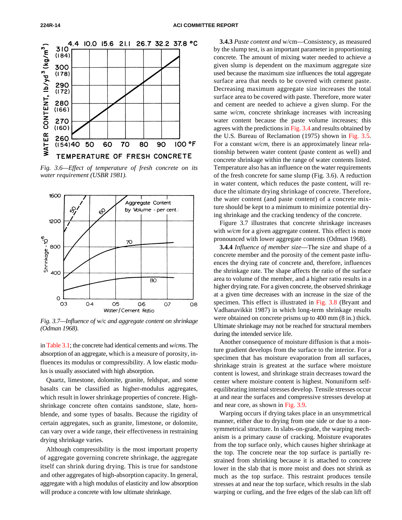

*Fig. 3.6—Effect of temperature of fresh concrete on its water requirement (USBR 1981).*



*Fig. 3.7—Influence of* w/c *and aggregate content on shrinkage (Odman 1968).*

i[n Table 3.1;](#page-5-2) the concrete had identical cements and *w/cm*s. The absorption of an aggregate, which is a measure of porosity, influences its modulus or compressibility. A low elastic modulus is usually associated with high absorption.

Quartz, limestone, dolomite, granite, feldspar, and some basalts can be classified as higher-modulus aggregates, which result in lower shrinkage properties of concrete. Highshrinkage concrete often contains sandstone, slate, hornblende, and some types of basalts. Because the rigidity of certain aggregates, such as granite, limestone, or dolomite, can vary over a wide range, their effectiveness in restraining drying shrinkage varies.

Although compressibility is the most important property of aggregate governing concrete shrinkage, the aggregate itself can shrink during drying. This is true for sandstone and other aggregates of high-absorption capacity. In general, aggregate with a high modulus of elasticity and low absorption will produce a concrete with low ultimate shrinkage.

**3.4.3** *Paste content and* w/cm—Consistency, as measured by the slump test, is an important parameter in proportioning concrete. The amount of mixing water needed to achieve a given slump is dependent on the maximum aggregate size used because the maximum size influences the total aggregate surface area that needs to be covered with cement paste. Decreasing maximum aggregate size increases the total surface area to be covered with paste. Therefore, more water and cement are needed to achieve a given slump. For the same *w/cm*, concrete shrinkage increases with increasing water content because the paste volume increases; this agrees with the predictions in [Fig. 3.4 a](#page-5-0)nd results obtained by the U.S. Bureau of Reclamation (1975) shown in [Fig. 3.5.](#page-5-1) For a constant *w/cm*, there is an approximately linear relationship between water content (paste content as well) and concrete shrinkage within the range of water contents listed. Temperature also has an influence on the water requirements of the fresh concrete for same slump (Fig. 3.6). A reduction in water content, which reduces the paste content, will reduce the ultimate drying shrinkage of concrete. Therefore, the water content (and paste content) of a concrete mixture should be kept to a minimum to minimize potential drying shrinkage and the cracking tendency of the concrete.

Figure 3.7 illustrates that concrete shrinkage increases with  $w/cm$  for a given aggregate content. This effect is more pronounced with lower aggregate contents (Odman 1968).

**3.4.4** *Influence of member size*—The size and shape of a concrete member and the porosity of the cement paste influences the drying rate of concrete and, therefore, influences the shrinkage rate. The shape affects the ratio of the surface area to volume of the member, and a higher ratio results in a higher drying rate. For a given concrete, the observed shrinkage at a given time decreases with an increase in the size of the specimen. This effect is illustrated in [Fig. 3.8](#page-7-0) (Bryant and Vadhanavikkit 1987) in which long-term shrinkage results were obtained on concrete prisms up to 400 mm (8 in.) thick. Ultimate shrinkage may not be reached for structural members during the intended service life.

Another consequence of moisture diffusion is that a moisture gradient develops from the surface to the interior. For a specimen that has moisture evaporation from all surfaces, shrinkage strain is greatest at the surface where moisture content is lowest, and shrinkage strain decreases toward the center where moisture content is highest. Nonuniform selfequilibrating internal stresses develop. Tensile stresses occur at and near the surfaces and compressive stresses develop at and near core, as shown i[n Fig. 3.9.](#page-7-1)

Warping occurs if drying takes place in an unsymmetrical manner, either due to drying from one side or due to a nonsymmetrical structure. In slabs-on-grade, the warping mechanism is a primary cause of cracking. Moisture evaporates from the top surface only, which causes higher shrinkage at the top. The concrete near the top surface is partially restrained from shrinking because it is attached to concrete lower in the slab that is more moist and does not shrink as much as the top surface. This restraint produces tensile stresses at and near the top surface, which results in the slab warping or curling, and the free edges of the slab can lift off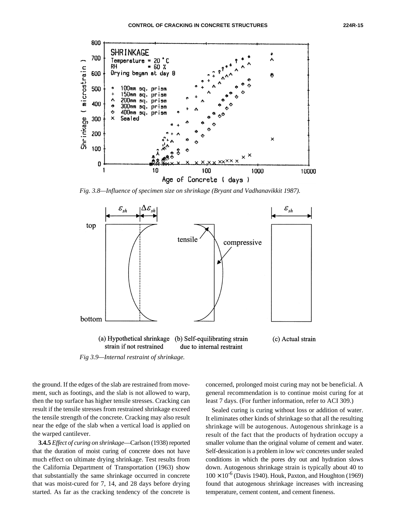<span id="page-7-0"></span>

<span id="page-7-1"></span>*Fig. 3.8—Influence of specimen size on shrinkage (Bryant and Vadhanavikkit 1987).*



*Fig 3.9—Internal restraint of shrinkage.*

the ground. If the edges of the slab are restrained from movement, such as footings, and the slab is not allowed to warp, then the top surface has higher tensile stresses. Cracking can result if the tensile stresses from restrained shrinkage exceed the tensile strength of the concrete. Cracking may also result near the edge of the slab when a vertical load is applied on the warped cantilever.

**3.4.5** *Effect of curing on shrinkage*—Carlson (1938) reported that the duration of moist curing of concrete does not have much effect on ultimate drying shrinkage. Test results from the California Department of Transportation (1963) show that substantially the same shrinkage occurred in concrete that was moist-cured for 7, 14, and 28 days before drying started. As far as the cracking tendency of the concrete is

concerned, prolonged moist curing may not be beneficial. A general recommendation is to continue moist curing for at least 7 days. (For further information, refer to ACI 309.)

Sealed curing is curing without loss or addition of water. It eliminates other kinds of shrinkage so that all the resulting shrinkage will be autogenous. Autogenous shrinkage is a result of the fact that the products of hydration occupy a smaller volume than the original volume of cement and water. Self-dessication is a problem in low *w/c* concretes under sealed conditions in which the pores dry out and hydration slows down. Autogenous shrinkage strain is typically about 40 to  $100 \times 10^{-6}$  (Davis 1940). Houk, Paxton, and Houghton (1969) found that autogenous shrinkage increases with increasing temperature, cement content, and cement fineness.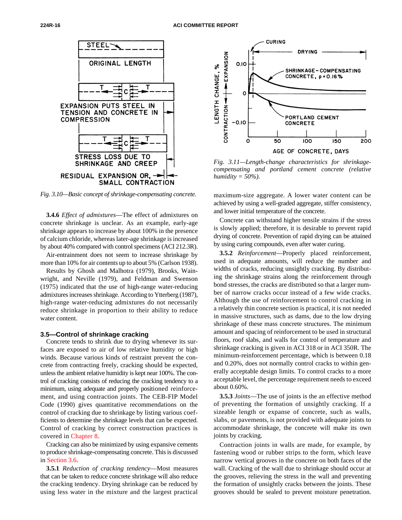<span id="page-8-1"></span>

<span id="page-8-0"></span>*Fig. 3.10—Basic concept of shrinkage-compensating concrete.* 

**3.4.6** *Effect of admixtures*—The effect of admixtures on concrete shrinkage is unclear. As an example, early-age shrinkage appears to increase by about 100% in the presence of calcium chloride, whereas later-age shrinkage is increased by about 40% compared with control specimens (ACI 212.3R).

Air-entrainment does not seem to increase shrinkage by more than 10% for air contents up to about 5% (Carlson 1938).

Results by Ghosh and Malhotra (1979), Brooks, Wainwright, and Neville (1979), and Feldman and Swenson (1975) indicated that the use of high-range water-reducing admixtures increases shrinkage. According to Ytterberg (1987), high-range water-reducing admixtures do not necessarily reduce shrinkage in proportion to their ability to reduce water content.

#### **3.5—Control of shrinkage cracking**

Concrete tends to shrink due to drying whenever its surfaces are exposed to air of low relative humidity or high winds. Because various kinds of restraint prevent the concrete from contracting freely, cracking should be expected, unless the ambient relative humidity is kept near 100%. The control of cracking consists of reducing the cracking tendency to a minimum, using adequate and properly positioned reinforcement, and using contraction joints. The CEB-FIP Model Code (1990) gives quantitative recommendations on the control of cracking due to shrinkage by listing various coefficients to determine the shrinkage levels that can be expected. Control of cracking by correct construction practices is covered in Chapter 8.

Cracking can also be minimized by using expansive cements to produce shrinkage-compensating concrete. This is discussed in [Section 3.6.](#page-9-0)

**3.5.1** *Reduction of cracking tendency*—Most measures that can be taken to reduce concrete shrinkage will also reduce the cracking tendency. Drying shrinkage can be reduced by using less water in the mixture and the largest practical



*Fig. 3.11—Length-change characteristics for shrinkagecompensating and portland cement concrete (relative humidity = 50%).*

maximum-size aggregate. A lower water content can be achieved by using a well-graded aggregate, stiffer consistency, and lower initial temperature of the concrete.

Concrete can withstand higher tensile strains if the stress is slowly applied; therefore, it is desirable to prevent rapid drying of concrete. Prevention of rapid drying can be attained by using curing compounds, even after water curing.

**3.5.2** *Reinforcement*—Properly placed reinforcement, used in adequate amounts, will reduce the number and widths of cracks, reducing unsightly cracking. By distributing the shrinkage strains along the reinforcement through bond stresses, the cracks are distributed so that a larger number of narrow cracks occur instead of a few wide cracks. Although the use of reinforcement to control cracking in a relatively thin concrete section is practical, it is not needed in massive structures, such as dams, due to the low drying shrinkage of these mass concrete structures. The minimum amount and spacing of reinforcement to be used in structural floors, roof slabs, and walls for control of temperature and shrinkage cracking is given in ACI 318 or in ACI 350R. The minimum-reinforcement percentage, which is between 0.18 and 0.20%, does not normally control cracks to within generally acceptable design limits. To control cracks to a more acceptable level, the percentage requirement needs to exceed about 0.60%.

**3.5.3** *Joints*—The use of joints is the an effective method of preventing the formation of unsightly cracking. If a sizeable length or expanse of concrete, such as walls, slabs, or pavements, is not provided with adequate joints to accommodate shrinkage, the concrete will make its own joints by cracking.

Contraction joints in walls are made, for example, by fastening wood or rubber strips to the form, which leave narrow vertical grooves in the concrete on both faces of the wall. Cracking of the wall due to shrinkage should occur at the grooves, relieving the stress in the wall and preventing the formation of unsightly cracks between the joints. These grooves should be sealed to prevent moisture penetration.